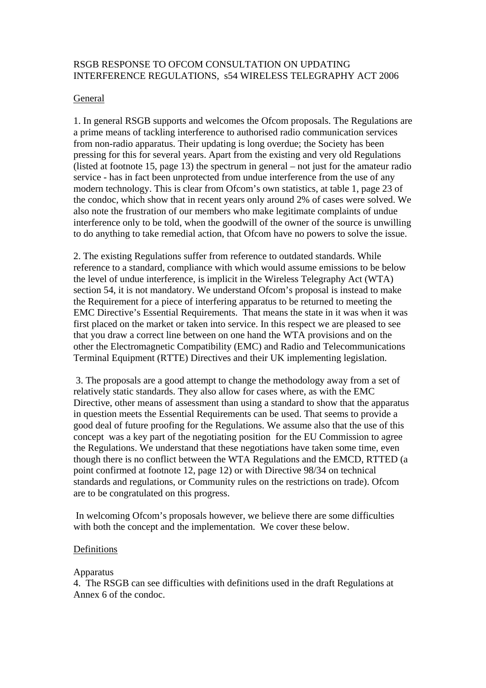# RSGB RESPONSE TO OFCOM CONSULTATION ON UPDATING INTERFERENCE REGULATIONS, s54 WIRELESS TELEGRAPHY ACT 2006

# General

1. In general RSGB supports and welcomes the Ofcom proposals. The Regulations are a prime means of tackling interference to authorised radio communication services from non-radio apparatus. Their updating is long overdue; the Society has been pressing for this for several years. Apart from the existing and very old Regulations (listed at footnote 15, page 13) the spectrum in general – not just for the amateur radio service - has in fact been unprotected from undue interference from the use of any modern technology. This is clear from Ofcom's own statistics, at table 1, page 23 of the condoc, which show that in recent years only around 2% of cases were solved. We also note the frustration of our members who make legitimate complaints of undue interference only to be told, when the goodwill of the owner of the source is unwilling to do anything to take remedial action, that Ofcom have no powers to solve the issue.

2. The existing Regulations suffer from reference to outdated standards. While reference to a standard, compliance with which would assume emissions to be below the level of undue interference, is implicit in the Wireless Telegraphy Act (WTA) section 54, it is not mandatory. We understand Ofcom's proposal is instead to make the Requirement for a piece of interfering apparatus to be returned to meeting the EMC Directive's Essential Requirements. That means the state in it was when it was first placed on the market or taken into service. In this respect we are pleased to see that you draw a correct line between on one hand the WTA provisions and on the other the Electromagnetic Compatibility (EMC) and Radio and Telecommunications Terminal Equipment (RTTE) Directives and their UK implementing legislation.

 3. The proposals are a good attempt to change the methodology away from a set of relatively static standards. They also allow for cases where, as with the EMC Directive, other means of assessment than using a standard to show that the apparatus in question meets the Essential Requirements can be used. That seems to provide a good deal of future proofing for the Regulations. We assume also that the use of this concept was a key part of the negotiating position for the EU Commission to agree the Regulations. We understand that these negotiations have taken some time, even though there is no conflict between the WTA Regulations and the EMCD, RTTED (a point confirmed at footnote 12, page 12) or with Directive 98/34 on technical standards and regulations, or Community rules on the restrictions on trade). Ofcom are to be congratulated on this progress.

 In welcoming Ofcom's proposals however, we believe there are some difficulties with both the concept and the implementation. We cover these below.

### Definitions

### Apparatus

4. The RSGB can see difficulties with definitions used in the draft Regulations at Annex 6 of the condoc.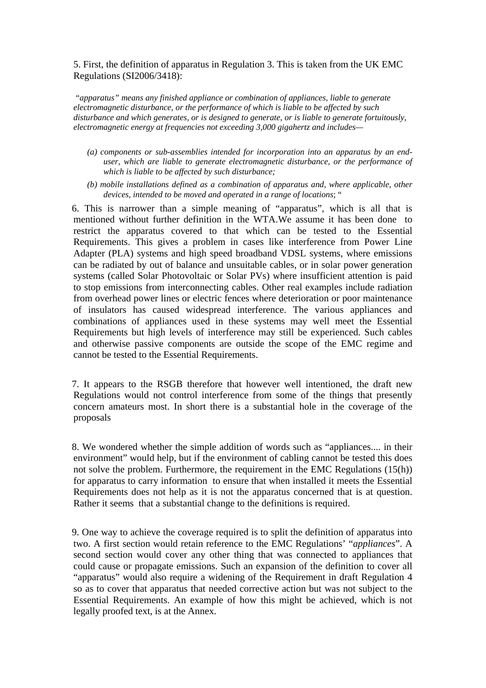5. First, the definition of apparatus in Regulation 3. This is taken from the UK EMC Regulations (SI2006/3418):

"*apparatus" means any finished appliance or combination of appliances, liable to generate electromagnetic disturbance, or the performance of which is liable to be affected by such disturbance and which generates, or is designed to generate, or is liable to generate fortuitously, electromagnetic energy at frequencies not exceeding 3,000 gigahertz and includes—* 

- *(a) components or sub-assemblies intended for incorporation into an apparatus by an enduser, which are liable to generate electromagnetic disturbance, or the performance of which is liable to be affected by such disturbance;*
- *(b) mobile installations defined as a combination of apparatus and, where applicable, other devices, intended to be moved and operated in a range of locations*; "

6. This is narrower than a simple meaning of "apparatus", which is all that is mentioned without further definition in the WTA.We assume it has been done to restrict the apparatus covered to that which can be tested to the Essential Requirements. This gives a problem in cases like interference from Power Line Adapter (PLA) systems and high speed broadband VDSL systems, where emissions can be radiated by out of balance and unsuitable cables, or in solar power generation systems (called Solar Photovoltaic or Solar PVs) where insufficient attention is paid to stop emissions from interconnecting cables. Other real examples include radiation from overhead power lines or electric fences where deterioration or poor maintenance of insulators has caused widespread interference. The various appliances and combinations of appliances used in these systems may well meet the Essential Requirements but high levels of interference may still be experienced. Such cables and otherwise passive components are outside the scope of the EMC regime and cannot be tested to the Essential Requirements.

7. It appears to the RSGB therefore that however well intentioned, the draft new Regulations would not control interference from some of the things that presently concern amateurs most. In short there is a substantial hole in the coverage of the proposals

8. We wondered whether the simple addition of words such as "appliances.... in their environment" would help, but if the environment of cabling cannot be tested this does not solve the problem. Furthermore, the requirement in the EMC Regulations (15(h)) for apparatus to carry information to ensure that when installed it meets the Essential Requirements does not help as it is not the apparatus concerned that is at question. Rather it seems that a substantial change to the definitions is required.

9. One way to achieve the coverage required is to split the definition of apparatus into two. A first section would retain reference to the EMC Regulations' "*appliances*". A second section would cover any other thing that was connected to appliances that could cause or propagate emissions. Such an expansion of the definition to cover all "apparatus" would also require a widening of the Requirement in draft Regulation 4 so as to cover that apparatus that needed corrective action but was not subject to the Essential Requirements. An example of how this might be achieved, which is not legally proofed text, is at the Annex.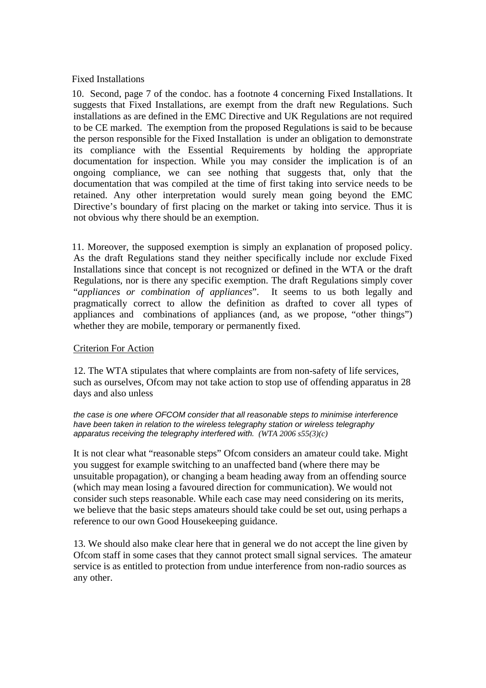# Fixed Installations

10. Second, page 7 of the condoc. has a footnote 4 concerning Fixed Installations. It suggests that Fixed Installations, are exempt from the draft new Regulations. Such installations as are defined in the EMC Directive and UK Regulations are not required to be CE marked. The exemption from the proposed Regulations is said to be because the person responsible for the Fixed Installation is under an obligation to demonstrate its compliance with the Essential Requirements by holding the appropriate documentation for inspection. While you may consider the implication is of an ongoing compliance, we can see nothing that suggests that, only that the documentation that was compiled at the time of first taking into service needs to be retained. Any other interpretation would surely mean going beyond the EMC Directive's boundary of first placing on the market or taking into service. Thus it is not obvious why there should be an exemption.

11. Moreover, the supposed exemption is simply an explanation of proposed policy. As the draft Regulations stand they neither specifically include nor exclude Fixed Installations since that concept is not recognized or defined in the WTA or the draft Regulations, nor is there any specific exemption. The draft Regulations simply cover "*appliances or combination of appliances*". It seems to us both legally and pragmatically correct to allow the definition as drafted to cover all types of appliances and combinations of appliances (and, as we propose, "other things") whether they are mobile, temporary or permanently fixed.

# Criterion For Action

12. The WTA stipulates that where complaints are from non-safety of life services, such as ourselves, Ofcom may not take action to stop use of offending apparatus in 28 days and also unless

#### *the case is one where OFCOM consider that all reasonable steps to minimise interference have been taken in relation to the wireless telegraphy station or wireless telegraphy apparatus receiving the telegraphy interfered with. (WTA 2006 s55(3)(c)*

It is not clear what "reasonable steps" Ofcom considers an amateur could take. Might you suggest for example switching to an unaffected band (where there may be unsuitable propagation), or changing a beam heading away from an offending source (which may mean losing a favoured direction for communication). We would not consider such steps reasonable. While each case may need considering on its merits, we believe that the basic steps amateurs should take could be set out, using perhaps a reference to our own Good Housekeeping guidance.

13. We should also make clear here that in general we do not accept the line given by Ofcom staff in some cases that they cannot protect small signal services. The amateur service is as entitled to protection from undue interference from non-radio sources as any other.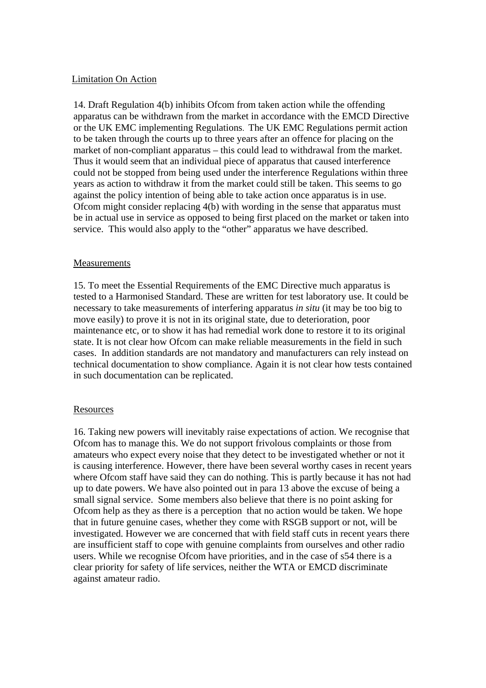### Limitation On Action

14. Draft Regulation 4(b) inhibits Ofcom from taken action while the offending apparatus can be withdrawn from the market in accordance with the EMCD Directive or the UK EMC implementing Regulations. The UK EMC Regulations permit action to be taken through the courts up to three years after an offence for placing on the market of non-compliant apparatus – this could lead to withdrawal from the market. Thus it would seem that an individual piece of apparatus that caused interference could not be stopped from being used under the interference Regulations within three years as action to withdraw it from the market could still be taken. This seems to go against the policy intention of being able to take action once apparatus is in use. Ofcom might consider replacing 4(b) with wording in the sense that apparatus must be in actual use in service as opposed to being first placed on the market or taken into service. This would also apply to the "other" apparatus we have described.

### Measurements

15. To meet the Essential Requirements of the EMC Directive much apparatus is tested to a Harmonised Standard. These are written for test laboratory use. It could be necessary to take measurements of interfering apparatus *in situ* (it may be too big to move easily) to prove it is not in its original state, due to deterioration, poor maintenance etc, or to show it has had remedial work done to restore it to its original state. It is not clear how Ofcom can make reliable measurements in the field in such cases. In addition standards are not mandatory and manufacturers can rely instead on technical documentation to show compliance. Again it is not clear how tests contained in such documentation can be replicated.

### Resources

16. Taking new powers will inevitably raise expectations of action. We recognise that Ofcom has to manage this. We do not support frivolous complaints or those from amateurs who expect every noise that they detect to be investigated whether or not it is causing interference. However, there have been several worthy cases in recent years where Ofcom staff have said they can do nothing. This is partly because it has not had up to date powers. We have also pointed out in para 13 above the excuse of being a small signal service. Some members also believe that there is no point asking for Ofcom help as they as there is a perception that no action would be taken. We hope that in future genuine cases, whether they come with RSGB support or not, will be investigated. However we are concerned that with field staff cuts in recent years there are insufficient staff to cope with genuine complaints from ourselves and other radio users. While we recognise Ofcom have priorities, and in the case of s54 there is a clear priority for safety of life services, neither the WTA or EMCD discriminate against amateur radio.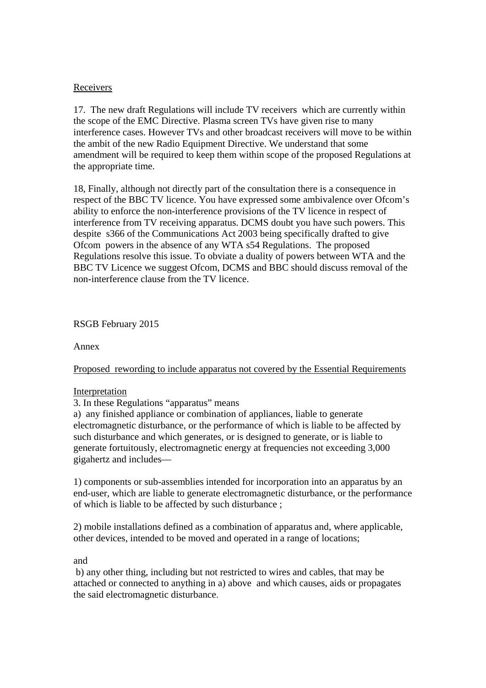# Receivers

17. The new draft Regulations will include TV receivers which are currently within the scope of the EMC Directive. Plasma screen TVs have given rise to many interference cases. However TVs and other broadcast receivers will move to be within the ambit of the new Radio Equipment Directive. We understand that some amendment will be required to keep them within scope of the proposed Regulations at the appropriate time.

18, Finally, although not directly part of the consultation there is a consequence in respect of the BBC TV licence. You have expressed some ambivalence over Ofcom's ability to enforce the non-interference provisions of the TV licence in respect of interference from TV receiving apparatus. DCMS doubt you have such powers. This despite s366 of the Communications Act 2003 being specifically drafted to give Ofcom powers in the absence of any WTA s54 Regulations. The proposed Regulations resolve this issue. To obviate a duality of powers between WTA and the BBC TV Licence we suggest Ofcom, DCMS and BBC should discuss removal of the non-interference clause from the TV licence.

# RSGB February 2015

Annex

# Proposed rewording to include apparatus not covered by the Essential Requirements

# Interpretation

3. In these Regulations "apparatus" means

a) any finished appliance or combination of appliances, liable to generate electromagnetic disturbance, or the performance of which is liable to be affected by such disturbance and which generates, or is designed to generate, or is liable to generate fortuitously, electromagnetic energy at frequencies not exceeding 3,000 gigahertz and includes—

1) components or sub-assemblies intended for incorporation into an apparatus by an end-user, which are liable to generate electromagnetic disturbance, or the performance of which is liable to be affected by such disturbance ;

2) mobile installations defined as a combination of apparatus and, where applicable, other devices, intended to be moved and operated in a range of locations;

and

 b) any other thing, including but not restricted to wires and cables, that may be attached or connected to anything in a) above and which causes, aids or propagates the said electromagnetic disturbance.